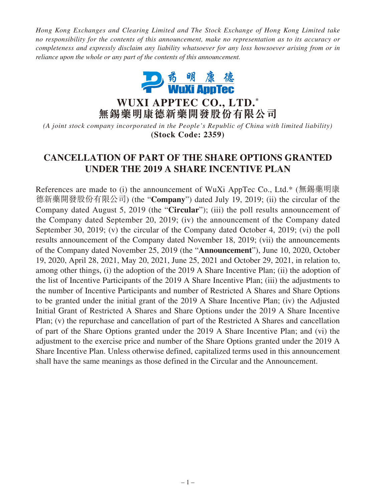*Hong Kong Exchanges and Clearing Limited and The Stock Exchange of Hong Kong Limited take no responsibility for the contents of this announcement, make no representation as to its accuracy or completeness and expressly disclaim any liability whatsoever for any loss howsoever arising from or in reliance upon the whole or any part of the contents of this announcement.*



**WUXI APPTEC CO., LTD. \* 無錫藥明康德新藥開發股份有限公司**

*(A joint stock company incorporated in the People's Republic of China with limited liability)* **(Stock Code: 2359)**

# **CANCELLATION OF PART OF THE SHARE OPTIONS GRANTED UNDER THE 2019 A SHARE INCENTIVE PLAN**

References are made to (i) the announcement of WuXi AppTec Co., Ltd.\* (無錫藥明康 德新藥開發股份有限公司) (the "**Company**") dated July 19, 2019; (ii) the circular of the Company dated August 5, 2019 (the "**Circular**"); (iii) the poll results announcement of the Company dated September 20, 2019; (iv) the announcement of the Company dated September 30, 2019; (v) the circular of the Company dated October 4, 2019; (vi) the poll results announcement of the Company dated November 18, 2019; (vii) the announcements of the Company dated November 25, 2019 (the "**Announcement**"), June 10, 2020, October 19, 2020, April 28, 2021, May 20, 2021, June 25, 2021 and October 29, 2021, in relation to, among other things, (i) the adoption of the 2019 A Share Incentive Plan; (ii) the adoption of the list of Incentive Participants of the 2019 A Share Incentive Plan; (iii) the adjustments to the number of Incentive Participants and number of Restricted A Shares and Share Options to be granted under the initial grant of the 2019 A Share Incentive Plan; (iv) the Adjusted Initial Grant of Restricted A Shares and Share Options under the 2019 A Share Incentive Plan; (v) the repurchase and cancellation of part of the Restricted A Shares and cancellation of part of the Share Options granted under the 2019 A Share Incentive Plan; and (vi) the adjustment to the exercise price and number of the Share Options granted under the 2019 A Share Incentive Plan. Unless otherwise defined, capitalized terms used in this announcement shall have the same meanings as those defined in the Circular and the Announcement.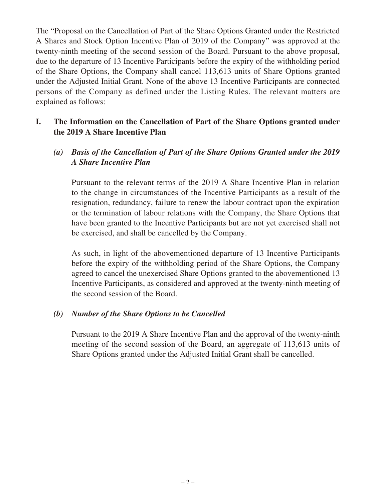The "Proposal on the Cancellation of Part of the Share Options Granted under the Restricted A Shares and Stock Option Incentive Plan of 2019 of the Company" was approved at the twenty-ninth meeting of the second session of the Board. Pursuant to the above proposal, due to the departure of 13 Incentive Participants before the expiry of the withholding period of the Share Options, the Company shall cancel 113,613 units of Share Options granted under the Adjusted Initial Grant. None of the above 13 Incentive Participants are connected persons of the Company as defined under the Listing Rules. The relevant matters are explained as follows:

# **I. The Information on the Cancellation of Part of the Share Options granted under the 2019 A Share Incentive Plan**

# *(a) Basis of the Cancellation of Part of the Share Options Granted under the 2019 A Share Incentive Plan*

Pursuant to the relevant terms of the 2019 A Share Incentive Plan in relation to the change in circumstances of the Incentive Participants as a result of the resignation, redundancy, failure to renew the labour contract upon the expiration or the termination of labour relations with the Company, the Share Options that have been granted to the Incentive Participants but are not yet exercised shall not be exercised, and shall be cancelled by the Company.

As such, in light of the abovementioned departure of 13 Incentive Participants before the expiry of the withholding period of the Share Options, the Company agreed to cancel the unexercised Share Options granted to the abovementioned 13 Incentive Participants, as considered and approved at the twenty-ninth meeting of the second session of the Board.

## *(b) Number of the Share Options to be Cancelled*

Pursuant to the 2019 A Share Incentive Plan and the approval of the twenty-ninth meeting of the second session of the Board, an aggregate of 113,613 units of Share Options granted under the Adjusted Initial Grant shall be cancelled.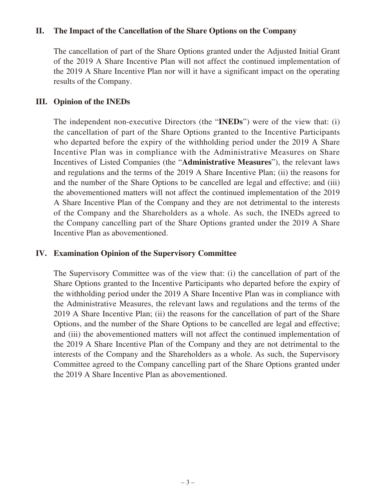#### **II. The Impact of the Cancellation of the Share Options on the Company**

The cancellation of part of the Share Options granted under the Adjusted Initial Grant of the 2019 A Share Incentive Plan will not affect the continued implementation of the 2019 A Share Incentive Plan nor will it have a significant impact on the operating results of the Company.

### **III. Opinion of the INEDs**

The independent non-executive Directors (the "**INEDs**") were of the view that: (i) the cancellation of part of the Share Options granted to the Incentive Participants who departed before the expiry of the withholding period under the 2019 A Share Incentive Plan was in compliance with the Administrative Measures on Share Incentives of Listed Companies (the "**Administrative Measures**"), the relevant laws and regulations and the terms of the 2019 A Share Incentive Plan; (ii) the reasons for and the number of the Share Options to be cancelled are legal and effective; and (iii) the abovementioned matters will not affect the continued implementation of the 2019 A Share Incentive Plan of the Company and they are not detrimental to the interests of the Company and the Shareholders as a whole. As such, the INEDs agreed to the Company cancelling part of the Share Options granted under the 2019 A Share Incentive Plan as abovementioned.

#### **IV. Examination Opinion of the Supervisory Committee**

The Supervisory Committee was of the view that: (i) the cancellation of part of the Share Options granted to the Incentive Participants who departed before the expiry of the withholding period under the 2019 A Share Incentive Plan was in compliance with the Administrative Measures, the relevant laws and regulations and the terms of the 2019 A Share Incentive Plan; (ii) the reasons for the cancellation of part of the Share Options, and the number of the Share Options to be cancelled are legal and effective; and (iii) the abovementioned matters will not affect the continued implementation of the 2019 A Share Incentive Plan of the Company and they are not detrimental to the interests of the Company and the Shareholders as a whole. As such, the Supervisory Committee agreed to the Company cancelling part of the Share Options granted under the 2019 A Share Incentive Plan as abovementioned.